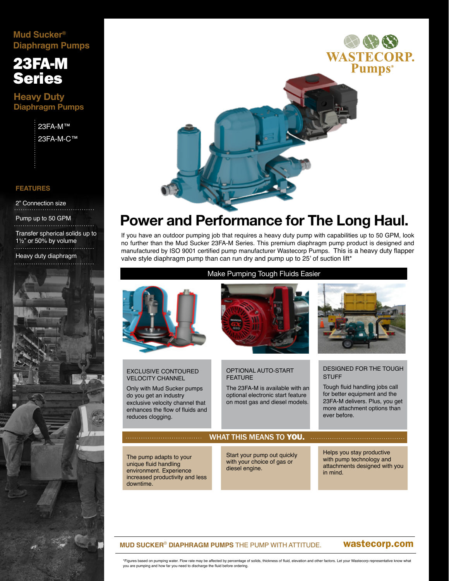# **Mud Sucker® Diaphragm Pumps**

# 23FA-M Series

**Heavy Duty Diaphragm Pumps**

> 23FA-M™ 23FA-M-C™

## **FEATURES**

2" Connection size

#### Pump up to 50 GPM

Transfer spherical solids up to 1½" or 50% by volume

Heavy duty diaphragm





# **Power and Performance for The Long Haul.**

If you have an outdoor pumping job that requires a heavy duty pump with capabilities up to 50 GPM, look no further than the Mud Sucker 23FA-M Series. This premium diaphragm pump product is designed and manufactured by ISO 9001 certified pump manufacturer Wastecorp Pumps. This is a heavy duty flapper valve style diaphragm pump than can run dry and pump up to 25' of suction lift\*



## **MUD SUCKER**® **DIAPHRAGM PUMPS** THE PUMP WITH ATTITUDE.

# wastecorp.com

\*Figures based on pumping water. Flow rate may be affected by percentage of solids, thickness of fluid, elevation and other factors. Let your Wastecorp representative know what you are pumping and how far you need to discharge the fluid before ordering.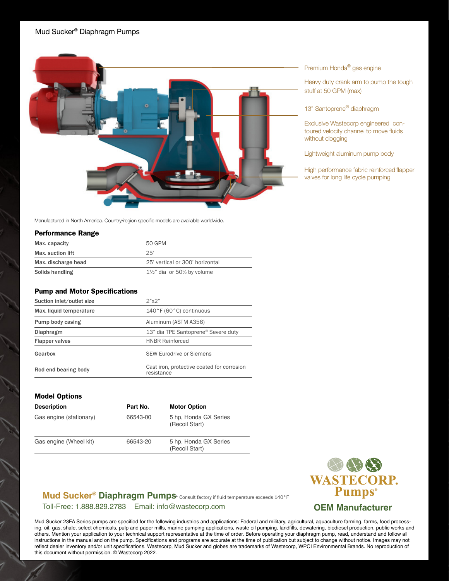

Premium Honda® gas engine

Heavy duty crank arm to pump the tough stuff at 50 GPM (max)

13" Santoprene<sup>®</sup> diaphragm

Exclusive Wastecorp engineered contoured velocity channel to move fluids without clogging

Lightweight aluminum pump body

High performance fabric reinforced flapper valves for long life cycle pumping

Manufactured in North America. Country/region specific models are available worldwide.

## Performance Range

| Max. capacity       | 50 GPM                              |
|---------------------|-------------------------------------|
| Max. suction lift   | 25'                                 |
| Max. discharge head | 25' vertical or 300' horizontal     |
| Solids handling     | $1\frac{1}{2}$ dia or 50% by volume |

## Pump and Motor Specifications

| Suction inlet/outlet size | $2"$ x $2"$<br>$140°$ F (60°C) continuous                |  |  |  |
|---------------------------|----------------------------------------------------------|--|--|--|
| Max. liquid temperature   |                                                          |  |  |  |
| Pump body casing          | Aluminum (ASTM A356)                                     |  |  |  |
| Diaphragm                 | 13" dia TPE Santoprene® Severe duty                      |  |  |  |
| <b>Flapper valves</b>     | <b>HNBR Reinforced</b>                                   |  |  |  |
| Gearbox                   | <b>SEW Eurodrive or Siemens</b>                          |  |  |  |
| Rod end bearing body      | Cast iron, protective coated for corrosion<br>resistance |  |  |  |

## Model Options

| <b>Description</b>      | Part No. | <b>Motor Option</b>                     |
|-------------------------|----------|-----------------------------------------|
| Gas engine (stationary) | 66543-00 | 5 hp. Honda GX Series<br>(Recoil Start) |
| Gas engine (Wheel kit)  | 66543-20 | 5 hp. Honda GX Series<br>(Recoil Start) |



Mud Sucker® Diaphragm Pumps<sup>&</sup> Consult factory if fluid temperature exceeds 140°F Toll-Free: 1.888.829.2783 Email: info@wastecorp.com

Mud Sucker 23FA Series pumps are specified for the following industries and applications: Federal and military, agricultural, aquaculture farming, farms, food processing, oil, gas, shale, select chemicals, pulp and paper mills, marine pumping applications, waste oil pumping, landfills, dewatering, biodiesel production, public works and others. Mention your application to your technical support representative at the time of order. Before operating your diaphragm pump, read, understand and follow all instructions in the manual and on the pump. Specifications and programs are accurate at the time of publication but subject to change without notice. Images may not reflect dealer inventory and/or unit specifications. Wastecorp, Mud Sucker and globes are trademarks of Wastecorp, WPCI Environmental Brands. No reproduction of this document without permission. © Wastecorp 2022.